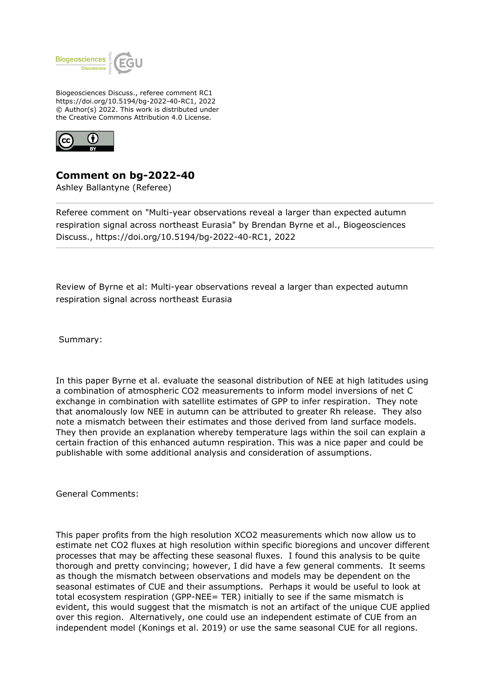

Biogeosciences Discuss., referee comment RC1 https://doi.org/10.5194/bg-2022-40-RC1, 2022 © Author(s) 2022. This work is distributed under the Creative Commons Attribution 4.0 License.



**Comment on bg-2022-40**

Ashley Ballantyne (Referee)

Referee comment on "Multi-year observations reveal a larger than expected autumn respiration signal across northeast Eurasia" by Brendan Byrne et al., Biogeosciences Discuss., https://doi.org/10.5194/bg-2022-40-RC1, 2022

Review of Byrne et al: Multi-year observations reveal a larger than expected autumn respiration signal across northeast Eurasia

Summary:

In this paper Byrne et al. evaluate the seasonal distribution of NEE at high latitudes using a combination of atmospheric CO2 measurements to inform model inversions of net C exchange in combination with satellite estimates of GPP to infer respiration. They note that anomalously low NEE in autumn can be attributed to greater Rh release. They also note a mismatch between their estimates and those derived from land surface models. They then provide an explanation whereby temperature lags within the soil can explain a certain fraction of this enhanced autumn respiration. This was a nice paper and could be publishable with some additional analysis and consideration of assumptions.

General Comments:

This paper profits from the high resolution XCO2 measurements which now allow us to estimate net CO2 fluxes at high resolution within specific bioregions and uncover different processes that may be affecting these seasonal fluxes. I found this analysis to be quite thorough and pretty convincing; however, I did have a few general comments. It seems as though the mismatch between observations and models may be dependent on the seasonal estimates of CUE and their assumptions. Perhaps it would be useful to look at total ecosystem respiration (GPP-NEE= TER) initially to see if the same mismatch is evident, this would suggest that the mismatch is not an artifact of the unique CUE applied over this region. Alternatively, one could use an independent estimate of CUE from an independent model (Konings et al. 2019) or use the same seasonal CUE for all regions.